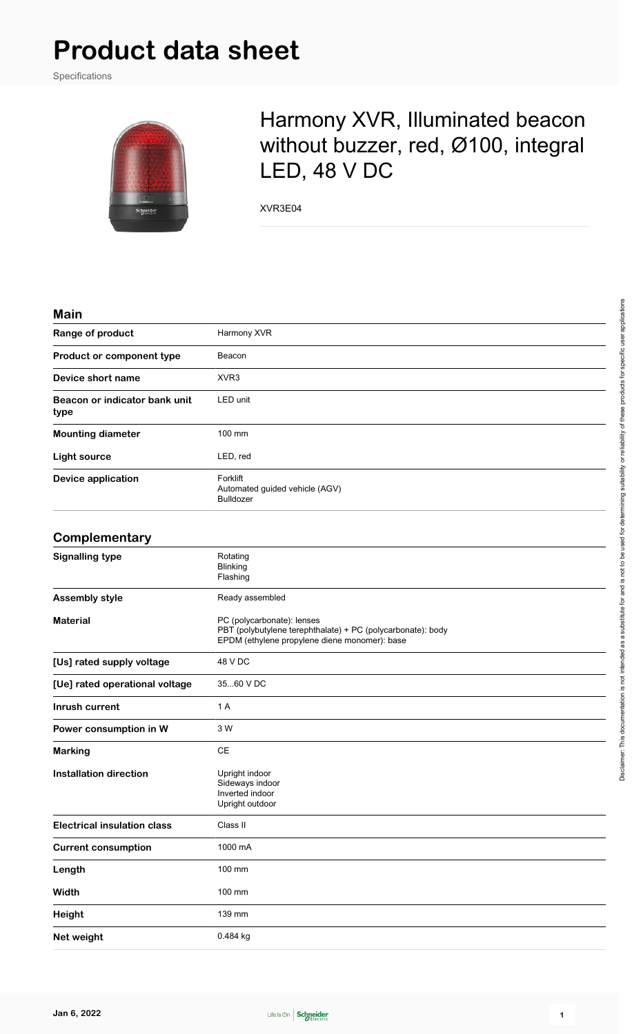Specifications



## Harmony XVR, Illuminated beacon without buzzer, red, Ø100, integral LED, 48 V DC

XVR3E04

#### **Main**

| ,,,,,,,                               |                                                                                                                                            |
|---------------------------------------|--------------------------------------------------------------------------------------------------------------------------------------------|
| Range of product                      | Harmony XVR                                                                                                                                |
| Product or component type             | Beacon                                                                                                                                     |
| Device short name                     | XVR <sub>3</sub>                                                                                                                           |
| Beacon or indicator bank unit<br>type | LED unit                                                                                                                                   |
| <b>Mounting diameter</b>              | 100 mm                                                                                                                                     |
| <b>Light source</b>                   | LED, red                                                                                                                                   |
| <b>Device application</b>             | Forklift<br>Automated guided vehicle (AGV)<br><b>Bulldozer</b>                                                                             |
| Complementary                         |                                                                                                                                            |
| <b>Signalling type</b>                | Rotating<br><b>Blinking</b><br>Flashing                                                                                                    |
| <b>Assembly style</b>                 | Ready assembled                                                                                                                            |
| <b>Material</b>                       | PC (polycarbonate): lenses<br>PBT (polybutylene terephthalate) + PC (polycarbonate): body<br>EPDM (ethylene propylene diene monomer): base |
| [Us] rated supply voltage             | 48 V DC                                                                                                                                    |
| [Ue] rated operational voltage        | 3560 V DC                                                                                                                                  |
| Inrush current                        | 1 A                                                                                                                                        |
| Power consumption in W                | 3 W                                                                                                                                        |
| <b>Marking</b>                        | CE                                                                                                                                         |
| <b>Installation direction</b>         | Upright indoor<br>Sideways indoor<br>Inverted indoor<br>Upright outdoor                                                                    |
| <b>Electrical insulation class</b>    | Class II                                                                                                                                   |
| <b>Current consumption</b>            | 1000 mA                                                                                                                                    |
| Length                                | 100 mm                                                                                                                                     |
| Width                                 | 100 mm                                                                                                                                     |
| Height                                | 139 mm                                                                                                                                     |
| Net weight                            | 0.484 kg                                                                                                                                   |
|                                       |                                                                                                                                            |

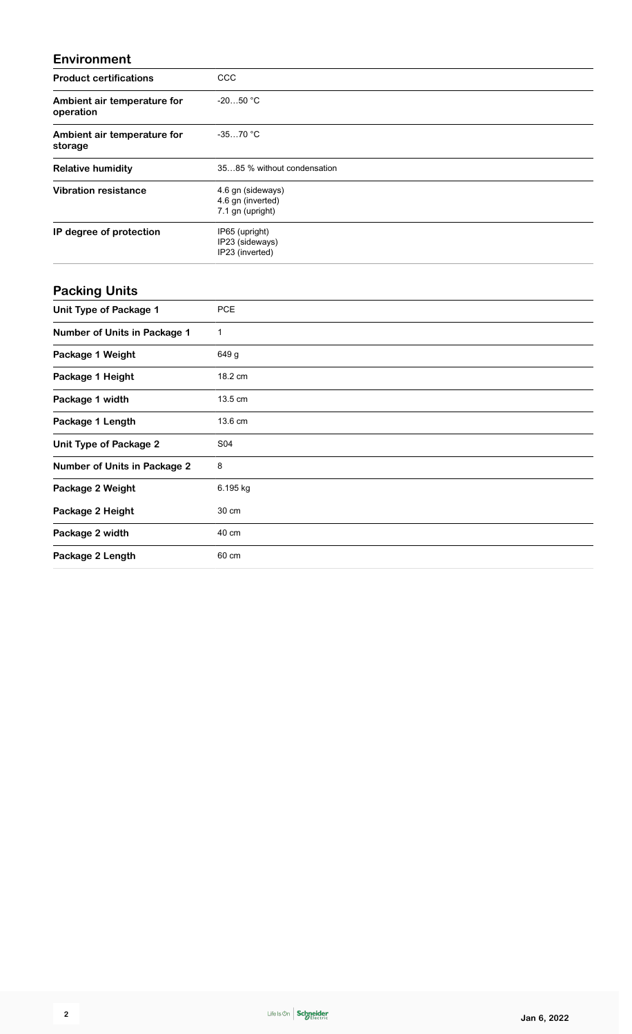### **Environment**

| <b>Product certifications</b>            | ccc                                                        |
|------------------------------------------|------------------------------------------------------------|
| Ambient air temperature for<br>operation | $-2050 °C$                                                 |
| Ambient air temperature for<br>storage   | $-3570 °C$                                                 |
| <b>Relative humidity</b>                 | 3585 % without condensation                                |
| <b>Vibration resistance</b>              | 4.6 gn (sideways)<br>4.6 gn (inverted)<br>7.1 gn (upright) |
| IP degree of protection                  | IP65 (upright)<br>IP23 (sideways)<br>IP23 (inverted)       |
| <b>Packing Units</b>                     |                                                            |
| <b>Unit Type of Package 1</b>            | <b>PCE</b>                                                 |
| Number of Units in Package 1             | $\mathbf{1}$                                               |
| Package 1 Weight                         | 649 g                                                      |
| Package 1 Height                         | 18.2 cm                                                    |
| Package 1 width                          | 13.5 cm                                                    |
| Package 1 Length                         | 13.6 cm                                                    |
| <b>Unit Type of Package 2</b>            | S04                                                        |
| <b>Number of Units in Package 2</b>      | 8                                                          |
| Package 2 Weight                         | 6.195 kg                                                   |
| Package 2 Height                         | 30 cm                                                      |
| Package 2 width                          | 40 cm                                                      |
| Package 2 Length                         | 60 cm                                                      |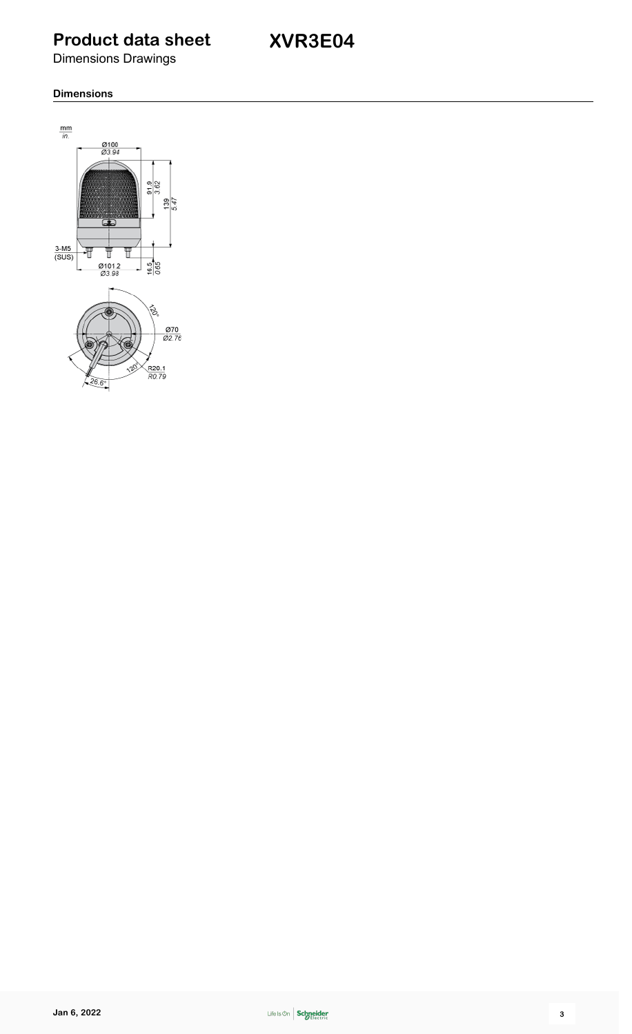**XVR3E04**

Dimensions Drawings

#### **Dimensions**

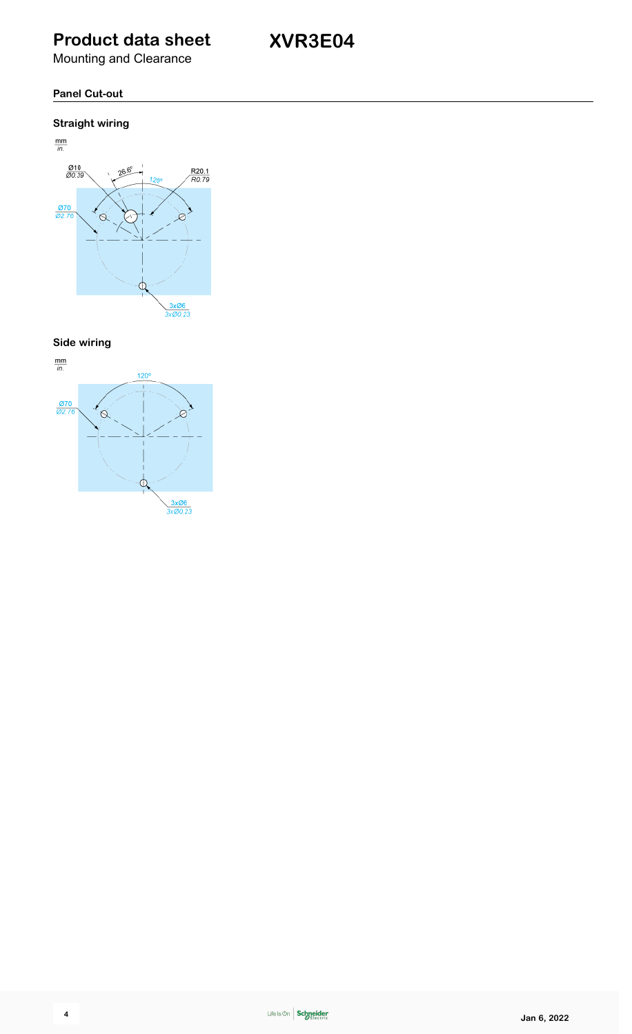**XVR3E04**

Mounting and Clearance

### **Panel Cut-out**

### **Straight wiring**



**Side wiring**